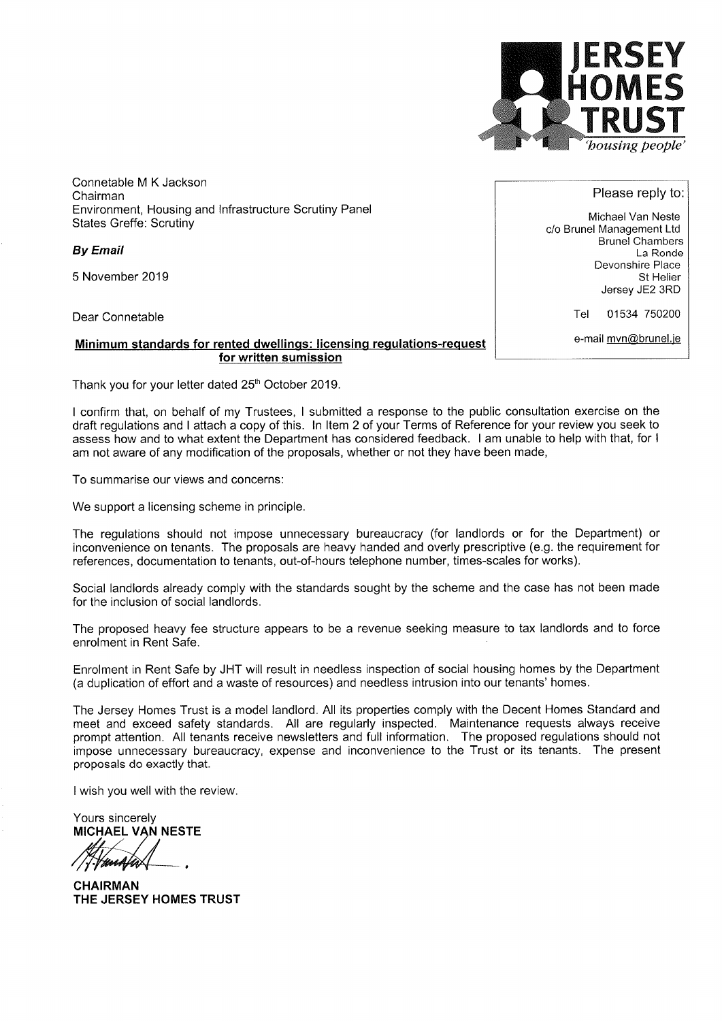

Connetable M K Jackson Chairman Environment, Housing and lnfrastructure Scrutiny Panel States Greffe: Scrutiny

By Email

5 November 2019

Dear Connetable

Minimum standards for rented dwellings: licensing regulations-request for written sumission

Thank you for your letter dated 25<sup>th</sup> October 2019.

I confirm that, on behalf of my Trustees, I submitted a response to the public consultation exercise on the draft regulations and I attach a copy of this. ln ltem 2 of your Terms of Reference for your review you seek to assess how and to what extent the Department has considered feedback. I am unable to help with that, for <sup>I</sup> am not aware of any modification of the proposals, whether or not they have been made,

To summarise our views and concerns:

We support a licensing scheme in principle.

The regulations should not impose unnecessary bureaucracy (for landlords or for the Department) or inconvenience on tenants. The proposals are heavy handed and overly prescriptive (e.g. the requirement for references, documentation to tenants, out-of-hours telephone number, times-scales for works).

Social landlords already comply with the standards sought by the scheme and the case has not been made for the inclusion of social landlords.

The proposed heavy fee structure appears to be a revenue seeking measure to tax landlords and to force enrolment in Rent Safe.

Enrolment in Rent Safe by JHT will result in needless inspection of social housing homes by the Department (a duplication of effort and a waste of resources) and needless intrusion into our tenants' homes.

The Jersey Homes Trust is a model landlord. All its properties comply with the Decent Homes Standard and meet and exceed safety standards. All are regularly inspected. Maintenance requests always receive prompt attention. All tenants receive newsletters and full information. The proposed regulations should not impose unnecessary bureaucracy, expense and inconvenience to the Trust or its tenants. The present proposals do exactly that.

I wish you well with the review.

Yours sincerely **MICHAEL VAN NESTE** 

HanAha

CHAIRMAN THE JERSEY HOMES TRUST

Please reply to:

Michael Van Neste c/o Brunel Management Ltd Brunel Chambers La Ronde Devonshire Place St Helier Jersey JE2 3RD

Tel <sup>01534</sup><sup>750200</sup>

e-mail mvn@brunel.je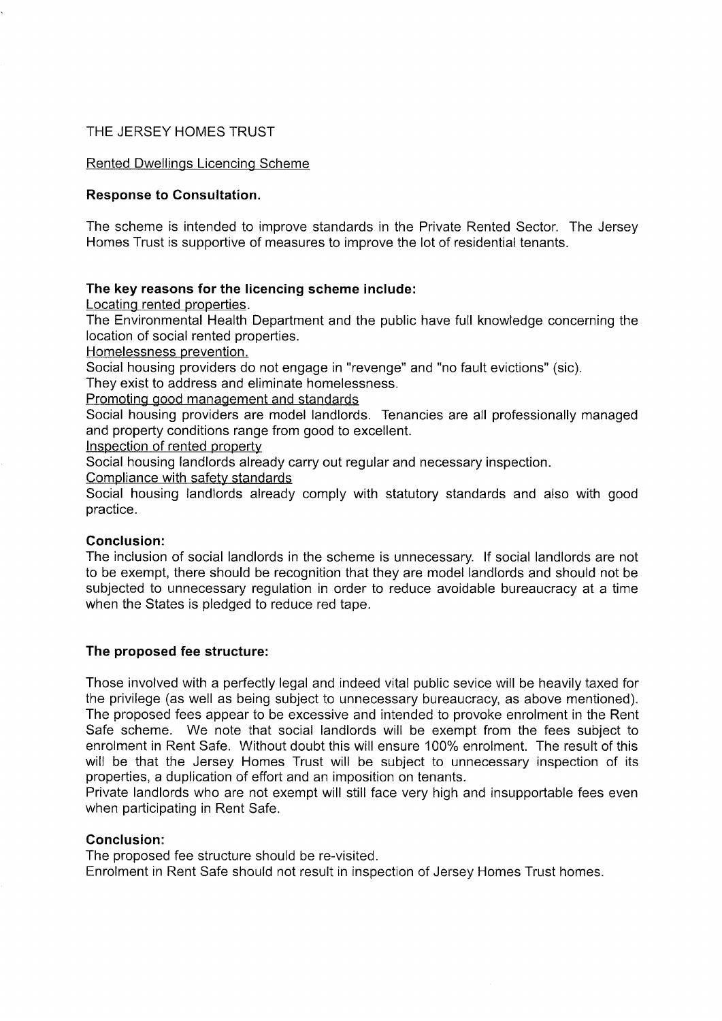# THE JERSEY HOMES TRUST

# Rented Dwellings Licencing Scheme

## Response to Consultation.

The scheme is intended to improve standards in the Private Rented Sector. The Jersey Homes Trust is supportive of measures to improve the lot of residential tenants.

### The key reasons for the licencing scheme include:

Locating rented properties.

The Environmental Health Department and the public have full knowledge concerning the location of social rented properties.

Homelessness prevention.

Social housing providers do not engage in "revenge" and "no fault evictions" (sic).

They exist to address and eliminate homelessness.

Promoting good management and standards

Social housing providers are model landlords. Tenancies are all professionally managed and property conditions range from good to excellent.

lnspection of rented property

Social housing landlords already carry out regular and necessary inspection.

Compliance with safety standards

Social housing landlords already comply with statutory standards and also with good practice.

### Conclusion:

The inclusion of social landlords in the scheme is unnecessary. If social landlords are not to be exempt, there should be recognition that they are model landlords and should not be subjected to unnecessary regulation in order to reduce avoidable bureaucracy at a time when the States is pledged to reduce red tape.

# The proposed fee structure:

Those involved with a perfectly legal and indeed vital public sevice will be heavily taxed for the privilege (as well as being subject to unnecessary bureaucracy, as above mentioned). The proposed fees appear to be excessive and intended to provoke enrolment in the Rent Safe scheme. We note that social landlords will be exempt from the fees subject to enrolment in Rent Safe. Without doubt this will ensure 100% enrolment. The result of this will be that the Jersey Homes Trust will be subject to unnecessary inspection of its properties, a duplication of effort and an imposition on tenants.

Private landlords who are not exempt will still face very high and insupportable fees even when participating in Rent Safe.

### Conclusion:

The proposed fee structure should be re-visited. Enrolment in Rent Safe should not result in inspection of Jersey Homes Trust homes